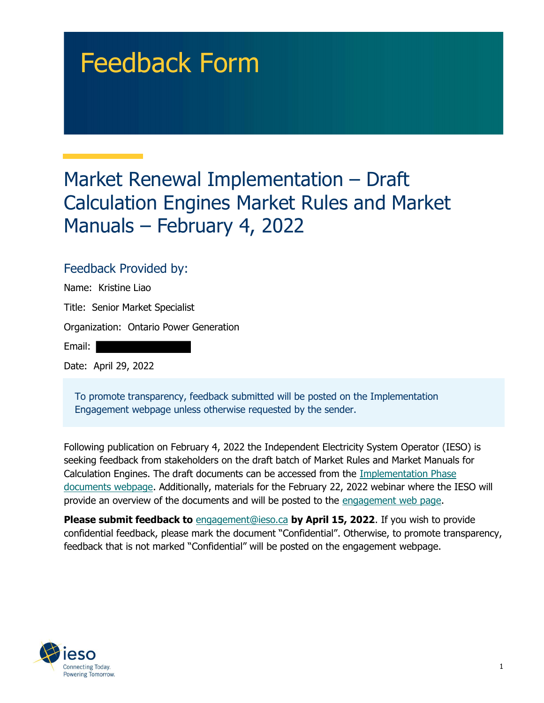# Feedback Form

## Market Renewal Implementation – Draft Calculation Engines Market Rules and Market Manuals – February 4, 2022

## Feedback Provided by:

| Name: Kristine Liao                    |
|----------------------------------------|
| Title: Senior Market Specialist        |
| Organization: Ontario Power Generation |
| Email:                                 |
| Date: April 29, 2022                   |

 To promote transparency, feedback submitted will be posted on the Implementation Engagement webpage unless otherwise requested by the sender.

 Following publication on February 4, 2022 the Independent Electricity System Operator (IESO) is seeking feedback from stakeholders on the draft batch of Market Rules and Market Manuals for Calculation Engines. The draft documents can be accessed from the Implementation Phase documents webpage. Additionally, materials for the February 22, 2022 webinar where the IESO will provide an overview of the documents and will be posted to the engagement web page.

Please submit feedback to [engagement@ieso.ca](mailto:engagement@ieso.ca) by April 15, 2022. If you wish to provide confidential feedback, please mark the document "Confidential". Otherwise, to promote transparency, feedback that is not marked "Confidential" will be posted on the engagement webpage.

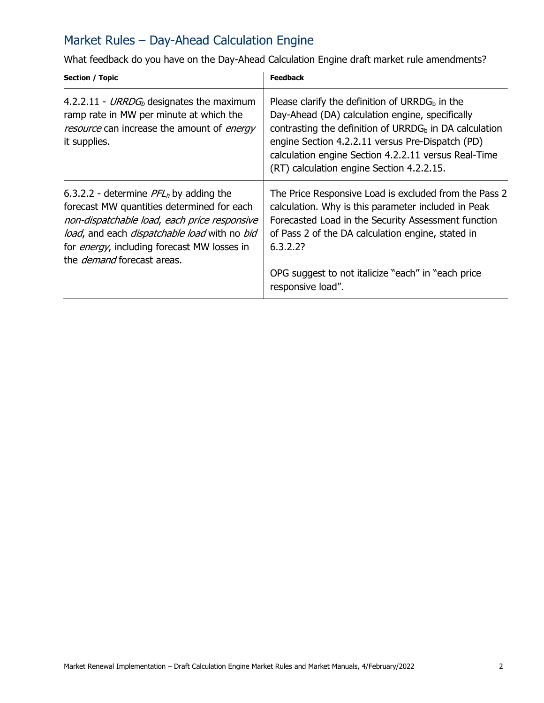## Market Rules – Day-Ahead Calculation Engine

What feedback do you have on the Day-Ahead Calculation Engine draft market rule amendments?

| Section / Topic                                                                                                                                                                                                                                                                    | <b>Feedback</b>                                                                                                                                                                                                                                                                                                                     |
|------------------------------------------------------------------------------------------------------------------------------------------------------------------------------------------------------------------------------------------------------------------------------------|-------------------------------------------------------------------------------------------------------------------------------------------------------------------------------------------------------------------------------------------------------------------------------------------------------------------------------------|
| 4.2.2.11 - URRDG <sub>b</sub> designates the maximum<br>ramp rate in MW per minute at which the<br>resource can increase the amount of energy<br>it supplies.                                                                                                                      | Please clarify the definition of URRD $Gb$ in the<br>Day-Ahead (DA) calculation engine, specifically<br>contrasting the definition of URRDG <sub>b</sub> in DA calculation<br>engine Section 4.2.2.11 versus Pre-Dispatch (PD)<br>calculation engine Section 4.2.2.11 versus Real-Time<br>(RT) calculation engine Section 4.2.2.15. |
| 6.3.2.2 - determine $PFLh$ by adding the<br>forecast MW quantities determined for each<br>non-dispatchable load, each price responsive<br>load, and each dispatchable load with no bid<br>for <i>energy</i> , including forecast MW losses in<br>the <i>demand</i> forecast areas. | The Price Responsive Load is excluded from the Pass 2<br>calculation. Why is this parameter included in Peak<br>Forecasted Load in the Security Assessment function<br>of Pass 2 of the DA calculation engine, stated in<br>6.3.2.2?<br>OPG suggest to not italicize "each" in "each price<br>responsive load".                     |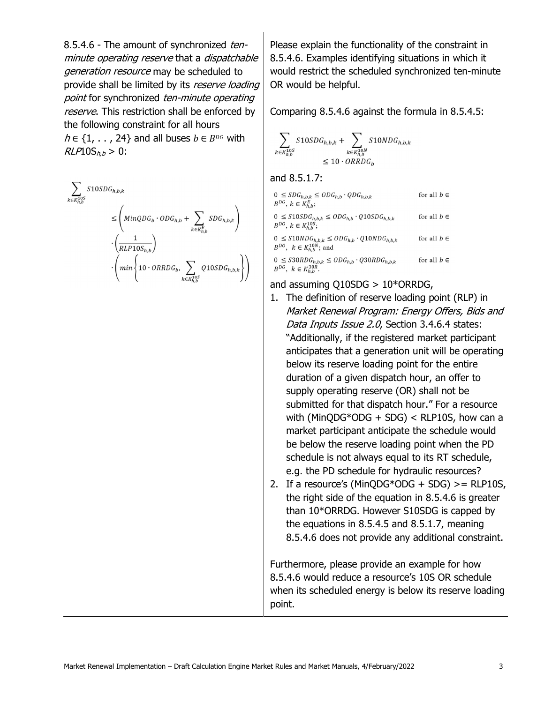8.5.4.6 - The amount of synchronized tenminute operating reserve that a dispatchable generation resource may be scheduled to provide shall be limited by its reserve loading point for synchronized ten-minute operating reserve. This restriction shall be enforced by the following constraint for all hours  $h \in \{1, \ldots, 24\}$  and all buses  $b \in B^{p_G}$  with  $RLP10S_{h,b} > 0$ :

$$
\begin{aligned} \sum_{k \in K_{h,b}^{10S}} S10SDG_{h,b,k} \\ \leq & \left( MinQDG_b \cdot ODG_{h,b} + \sum_{k \in K_{h,b}^E} SDG_{h,b,k} \right) \\ \cdot & \left( \frac{1}{RLP10S_{h,b}} \right) \\ \cdot & \left( min \left\{ 10 \cdot ORRDG_b, \sum_{k \in K_{h,b}^{10S}} Q10SDG_{h,b,k} \right\} \right) \end{aligned}
$$

 Please explain the functionality of the constraint in 8.5.4.6. Examples identifying situations in which it would restrict the scheduled synchronized ten-minute OR would be helpful.

Comparing 8.5.4.6 against the formula in 8.5.4.5:

$$
\sum_{k \in K_{h,b}^{10S}} 510S D G_{h,b,k} + \sum_{k \in K_{h,b}^{10N}} 510N D G_{h,b,k}
$$
  

$$
\leq 10 \cdot ORR D G_b
$$

and 8.5.1.7:

| $0 \leq S D G_{h,b,k} \leq O D G_{h,b} \cdot Q D G_{h,b,k}$<br>$B^{DG}, k \in K_{h,b}^E;$             | for all $b \in$ |
|-------------------------------------------------------------------------------------------------------|-----------------|
| $0 \leq S10S D G_{h,b,k} \leq O D G_{h,b} \cdot Q10S D G_{h,b,k}$<br>$B^{DG}, k \in K_{h,b}^{10S};$   | for all $b \in$ |
| $0 \leq S10NDG_{h,b,k} \leq ODG_{h,b} \cdot Q10NDG_{h,b,k}$<br>$B^{DG}$ , $k \in K_{h.b}^{10N}$ ; and | for all $b \in$ |
| $0 \leq S30RDG_{h,b,k} \leq ODG_{h,b} \cdot Q30RDG_{h,b,k}$<br>$B^{DG}, k \in K_{b,b}^{30R}$ .        | for all $b \in$ |

#### and assuming Q10SDG > 10\*ORRDG,

- 1. The definition of reserve loading point (RLP) in Market Renewal Program: Energy Offers, Bids and Data Inputs Issue 2.0, Section 3.4.6.4 states: "Additionally, if the registered market participant anticipates that a generation unit will be operating below its reserve loading point for the entire duration of a given dispatch hour, an offer to supply operating reserve (OR) shall not be submitted for that dispatch hour." For a resource with (MinQDG\*ODG + SDG) < RLP10S, how can a market participant anticipate the schedule would be below the reserve loading point when the PD schedule is not always equal to its RT schedule, e.g. the PD schedule for hydraulic resources? 2. If a resource's (MinQDG\*ODG + SDG) >= RLP10S,
- the right side of the equation in 8.5.4.6 is greater than 10\*ORRDG. However S10SDG is capped by the equations in 8.5.4.5 and 8.5.1.7, meaning 8.5.4.6 does not provide any additional constraint.

 Furthermore, please provide an example for how 8.5.4.6 would reduce a resource's 10S OR schedule when its scheduled energy is below its reserve loading point.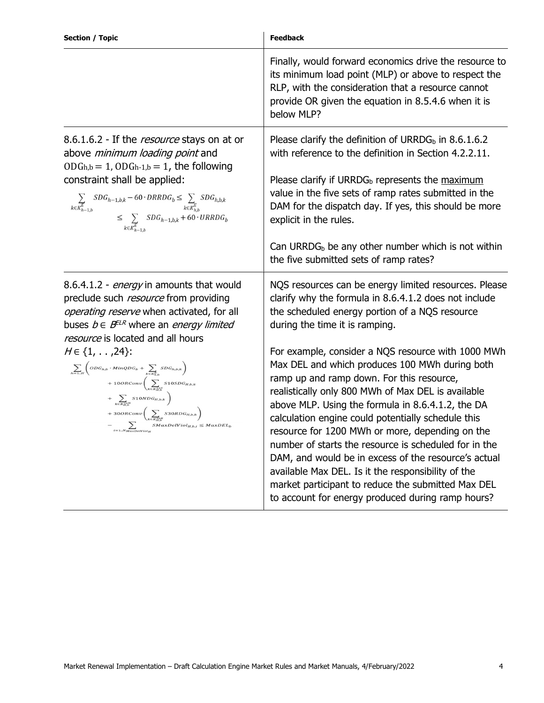| <b>Section / Topic</b>                                                                                                                                                                                                                                                                                                                                                                                                                                                                                                                                                                                                                                                                                 | <b>Feedback</b>                                                                                                                                                                                                                                                                                                                                                                                                                                                                                                                                                                                                                                                                                                                                                                                                                                               |
|--------------------------------------------------------------------------------------------------------------------------------------------------------------------------------------------------------------------------------------------------------------------------------------------------------------------------------------------------------------------------------------------------------------------------------------------------------------------------------------------------------------------------------------------------------------------------------------------------------------------------------------------------------------------------------------------------------|---------------------------------------------------------------------------------------------------------------------------------------------------------------------------------------------------------------------------------------------------------------------------------------------------------------------------------------------------------------------------------------------------------------------------------------------------------------------------------------------------------------------------------------------------------------------------------------------------------------------------------------------------------------------------------------------------------------------------------------------------------------------------------------------------------------------------------------------------------------|
|                                                                                                                                                                                                                                                                                                                                                                                                                                                                                                                                                                                                                                                                                                        | Finally, would forward economics drive the resource to<br>its minimum load point (MLP) or above to respect the<br>RLP, with the consideration that a resource cannot<br>provide OR given the equation in 8.5.4.6 when it is<br>below MLP?                                                                                                                                                                                                                                                                                                                                                                                                                                                                                                                                                                                                                     |
| 8.6.1.6.2 - If the <i>resource</i> stays on at or<br>above <i>minimum loading point</i> and<br>$ODGh,b = 1, ODGh-1,b = 1$ , the following<br>constraint shall be applied:<br>$\begin{aligned} \sum_{k \in K_{h-1,b}^E} SDG_{h-1,b,k} - 60 \cdot DRRDG_b \leq \sum_{k \in K_{h,b}^E} SDG_{h,b,k} \\ \leq \sum_{k \in K_{h-1,b}^E} SDG_{h-1,b,k} + 60 \cdot URRDG_b \end{aligned}$                                                                                                                                                                                                                                                                                                                       | Please clarify the definition of URRDG <sub>b</sub> in 8.6.1.6.2<br>with reference to the definition in Section 4.2.2.11.<br>Please clarify if URRDG <sub>b</sub> represents the maximum<br>value in the five sets of ramp rates submitted in the<br>DAM for the dispatch day. If yes, this should be more<br>explicit in the rules.<br>Can URRDG $b$ be any other number which is not within<br>the five submitted sets of ramp rates?                                                                                                                                                                                                                                                                                                                                                                                                                       |
| 8.6.4.1.2 - energy in amounts that would<br>preclude such <i>resource</i> from providing<br>operating reserve when activated, for all<br>buses $b \in B^{ELR}$ where an <i>energy limited</i><br>resource is located and all hours<br>$H \in \{1, \ldots, 24\}$ :<br>$\begin{aligned} \sum_{h=1H}\left(ODG_{h,b}\cdot MinQDG_{b}+\sum_{k\in R_{h,b}^{L}}SDG_{h,b,k}\right)\\ +10ORConv\left(\sum_{k\in R_{H,b}^{MS}}S10SDG_{H,b,k}\right) \end{aligned}$<br>+ $\sum_{k \in K_{hb}^{DN}}$ 510NDG <sub>H,b,k</sub> $\bigg)$<br>$+ 300 RConv \left( \sum_{k \in K_{H_D}^{RMB}} S30 R D G_{H,b,k} \right) \\ - \sum_{i=1N_{MaxD} \in Woly} SMaxDeWiol_{H,b,i} \le MaxDEL_b$<br>$\sum_{i=1N_{MaxDeViot_H}}$ | NQS resources can be energy limited resources. Please<br>clarify why the formula in 8.6.4.1.2 does not include<br>the scheduled energy portion of a NQS resource<br>during the time it is ramping.<br>For example, consider a NQS resource with 1000 MWh<br>Max DEL and which produces 100 MWh during both<br>ramp up and ramp down. For this resource,<br>realistically only 800 MWh of Max DEL is available<br>above MLP. Using the formula in 8.6.4.1.2, the DA<br>calculation engine could potentially schedule this<br>resource for 1200 MWh or more, depending on the<br>number of starts the resource is scheduled for in the<br>DAM, and would be in excess of the resource's actual<br>available Max DEL. Is it the responsibility of the<br>market participant to reduce the submitted Max DEL<br>to account for energy produced during ramp hours? |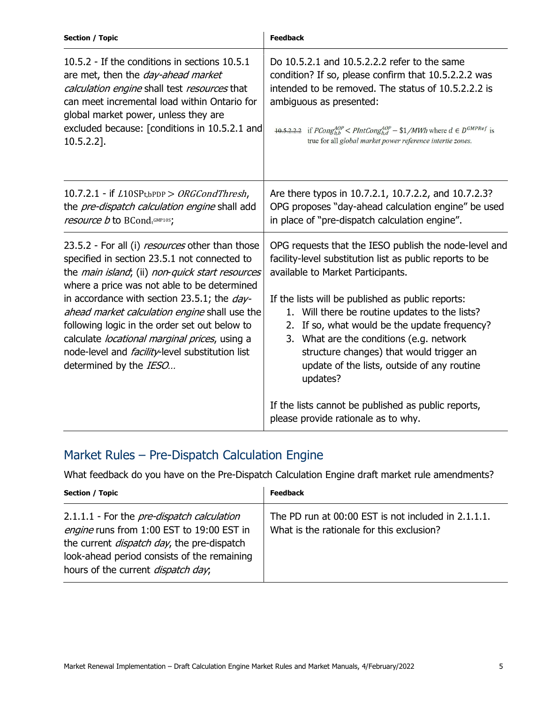| <b>Section / Topic</b>                                                                                                                                                                                                                                                                                                                                                                                                                                                                                         | <b>Feedback</b>                                                                                                                                                                                                                                                                                                                                                                                                                                                      |
|----------------------------------------------------------------------------------------------------------------------------------------------------------------------------------------------------------------------------------------------------------------------------------------------------------------------------------------------------------------------------------------------------------------------------------------------------------------------------------------------------------------|----------------------------------------------------------------------------------------------------------------------------------------------------------------------------------------------------------------------------------------------------------------------------------------------------------------------------------------------------------------------------------------------------------------------------------------------------------------------|
| 10.5.2 - If the conditions in sections 10.5.1<br>are met, then the <i>day-ahead market</i><br>calculation engine shall test resources that<br>can meet incremental load within Ontario for<br>global market power, unless they are<br>excluded because: [conditions in 10.5.2.1 and<br>$10.5.2.2$ ].                                                                                                                                                                                                           | Do 10.5.2.1 and 10.5.2.2.2 refer to the same<br>condition? If so, please confirm that 10.5.2.2.2 was<br>intended to be removed. The status of 10.5.2.2.2 is<br>ambiguous as presented:<br>$\frac{10.5.2.2.2}{10.5.2.2.2}$ if $PCong_{hb}^{AOP} < PIntCong_{hd}^{AOP} - $1/MWh$ where $d \in D^{GMPRef}$ is<br>true for all global market power reference intertie zones.                                                                                             |
| 10.7.2.1 - if $L10SPt,bPDP$ > ORGCondThresh,<br>the <i>pre-dispatch calculation engine</i> shall add<br>resource b to BCondtGMP10S;                                                                                                                                                                                                                                                                                                                                                                            | Are there typos in 10.7.2.1, 10.7.2.2, and 10.7.2.3?<br>OPG proposes "day-ahead calculation engine" be used<br>in place of "pre-dispatch calculation engine".                                                                                                                                                                                                                                                                                                        |
| 23.5.2 - For all (i) <i>resources</i> other than those<br>specified in section 23.5.1 not connected to<br>the main island; (ii) non-quick start resources<br>where a price was not able to be determined<br>in accordance with section 23.5.1; the <i>day-</i><br>ahead market calculation engine shall use the<br>following logic in the order set out below to<br>calculate <i>locational marginal prices</i> , using a<br>node-level and <i>facility</i> -level substitution list<br>determined by the IESO | OPG requests that the IESO publish the node-level and<br>facility-level substitution list as public reports to be<br>available to Market Participants.<br>If the lists will be published as public reports:<br>1. Will there be routine updates to the lists?<br>If so, what would be the update frequency?<br>2.<br>3. What are the conditions (e.g. network<br>structure changes) that would trigger an<br>update of the lists, outside of any routine<br>updates? |
|                                                                                                                                                                                                                                                                                                                                                                                                                                                                                                                | If the lists cannot be published as public reports,<br>please provide rationale as to why.                                                                                                                                                                                                                                                                                                                                                                           |

## Market Rules – Pre-Dispatch Calculation Engine

What feedback do you have on the Pre-Dispatch Calculation Engine draft market rule amendments?

| <b>Section / Topic</b>                                                                                                                                                                                                                            | <b>Feedback</b>                                                                                  |
|---------------------------------------------------------------------------------------------------------------------------------------------------------------------------------------------------------------------------------------------------|--------------------------------------------------------------------------------------------------|
| 2.1.1.1 - For the <i>pre-dispatch calculation</i><br>engine runs from 1:00 EST to 19:00 EST in<br>the current <i>dispatch day</i> , the pre-dispatch<br>look-ahead period consists of the remaining<br>hours of the current <i>dispatch day</i> , | The PD run at 00:00 EST is not included in 2.1.1.1.<br>What is the rationale for this exclusion? |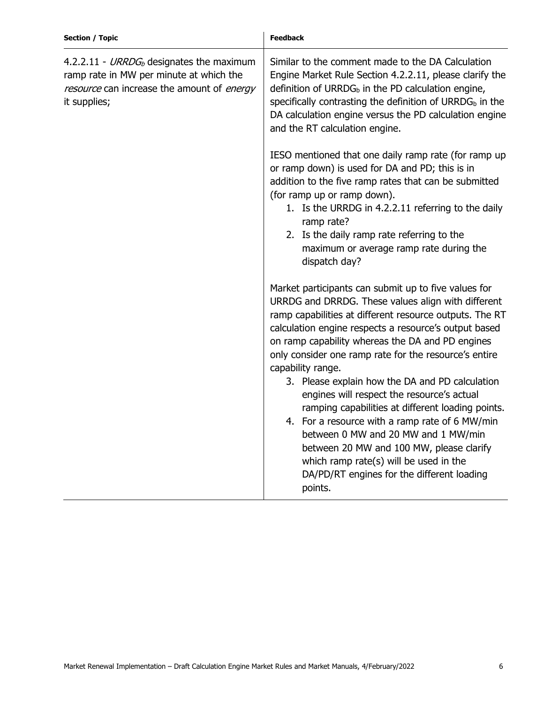| <b>Section / Topic</b>                                                                                                                                        | <b>Feedback</b>                                                                                                                                                                                                                                                                                                                                                                                                                                                                                                                                                                                                                                                                                                                                                |
|---------------------------------------------------------------------------------------------------------------------------------------------------------------|----------------------------------------------------------------------------------------------------------------------------------------------------------------------------------------------------------------------------------------------------------------------------------------------------------------------------------------------------------------------------------------------------------------------------------------------------------------------------------------------------------------------------------------------------------------------------------------------------------------------------------------------------------------------------------------------------------------------------------------------------------------|
| 4.2.2.11 - URRDG <sub>b</sub> designates the maximum<br>ramp rate in MW per minute at which the<br>resource can increase the amount of energy<br>it supplies; | Similar to the comment made to the DA Calculation<br>Engine Market Rule Section 4.2.2.11, please clarify the<br>definition of URRD $G_b$ in the PD calculation engine,<br>specifically contrasting the definition of $URRDGb$ in the<br>DA calculation engine versus the PD calculation engine<br>and the RT calculation engine.                                                                                                                                                                                                                                                                                                                                                                                                                               |
|                                                                                                                                                               | IESO mentioned that one daily ramp rate (for ramp up<br>or ramp down) is used for DA and PD; this is in<br>addition to the five ramp rates that can be submitted<br>(for ramp up or ramp down).<br>1. Is the URRDG in 4.2.2.11 referring to the daily<br>ramp rate?<br>2. Is the daily ramp rate referring to the<br>maximum or average ramp rate during the<br>dispatch day?                                                                                                                                                                                                                                                                                                                                                                                  |
|                                                                                                                                                               | Market participants can submit up to five values for<br>URRDG and DRRDG. These values align with different<br>ramp capabilities at different resource outputs. The RT<br>calculation engine respects a resource's output based<br>on ramp capability whereas the DA and PD engines<br>only consider one ramp rate for the resource's entire<br>capability range.<br>3. Please explain how the DA and PD calculation<br>engines will respect the resource's actual<br>ramping capabilities at different loading points.<br>4. For a resource with a ramp rate of 6 MW/min<br>between 0 MW and 20 MW and 1 MW/min<br>between 20 MW and 100 MW, please clarify<br>which ramp rate(s) will be used in the<br>DA/PD/RT engines for the different loading<br>points. |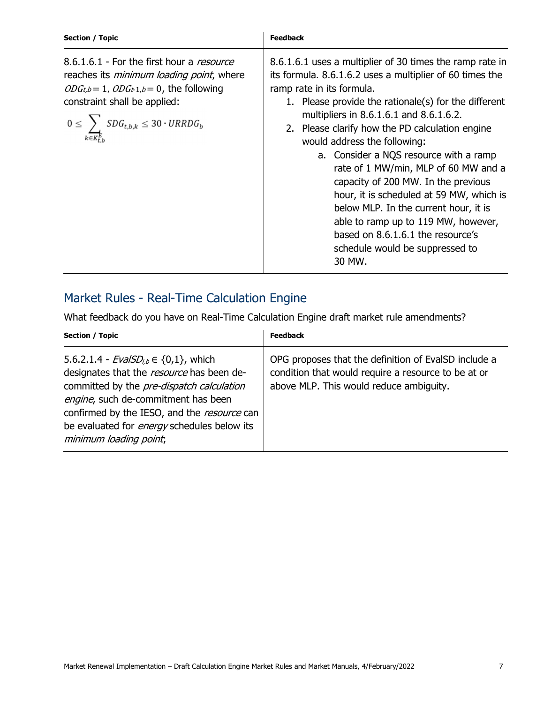| Section / Topic                                                                                                                                                                                                                          | <b>Feedback</b>                                                                                                                                                                                                                                                                                                                                                                                                                                                                                                                                                                                                                                                                |
|------------------------------------------------------------------------------------------------------------------------------------------------------------------------------------------------------------------------------------------|--------------------------------------------------------------------------------------------------------------------------------------------------------------------------------------------------------------------------------------------------------------------------------------------------------------------------------------------------------------------------------------------------------------------------------------------------------------------------------------------------------------------------------------------------------------------------------------------------------------------------------------------------------------------------------|
| 8.6.1.6.1 - For the first hour a resource<br>reaches its <i>minimum loading point</i> , where<br>$ODGt,b=1, ODGt-1,b=0$ , the following<br>constraint shall be applied:<br>$0 \leq \sum_{k \in K^E} S D G_{t,b,k} \leq 30 \cdot URRDG_b$ | 8.6.1.6.1 uses a multiplier of 30 times the ramp rate in<br>its formula. 8.6.1.6.2 uses a multiplier of 60 times the<br>ramp rate in its formula.<br>1. Please provide the rationale(s) for the different<br>multipliers in 8.6.1.6.1 and 8.6.1.6.2.<br>2. Please clarify how the PD calculation engine<br>would address the following:<br>a. Consider a NQS resource with a ramp<br>rate of 1 MW/min, MLP of 60 MW and a<br>capacity of 200 MW. In the previous<br>hour, it is scheduled at 59 MW, which is<br>below MLP. In the current hour, it is<br>able to ramp up to 119 MW, however,<br>based on 8.6.1.6.1 the resource's<br>schedule would be suppressed to<br>30 MW. |

## Market Rules - Real-Time Calculation Engine

What feedback do you have on Real-Time Calculation Engine draft market rule amendments?

| <b>Section / Topic</b>                                                                                                                                                                                                                                                                                                | <b>Feedback</b>                                                                                                                                        |
|-----------------------------------------------------------------------------------------------------------------------------------------------------------------------------------------------------------------------------------------------------------------------------------------------------------------------|--------------------------------------------------------------------------------------------------------------------------------------------------------|
| 5.6.2.1.4 - $EvalSD_{i,b} \in \{0,1\}$ , which<br>designates that the resource has been de-<br>committed by the <i>pre-dispatch calculation</i><br>engine, such de-commitment has been<br>confirmed by the IESO, and the resource can<br>be evaluated for <i>energy</i> schedules below its<br>minimum loading point, | OPG proposes that the definition of EvalSD include a<br>condition that would require a resource to be at or<br>above MLP. This would reduce ambiguity. |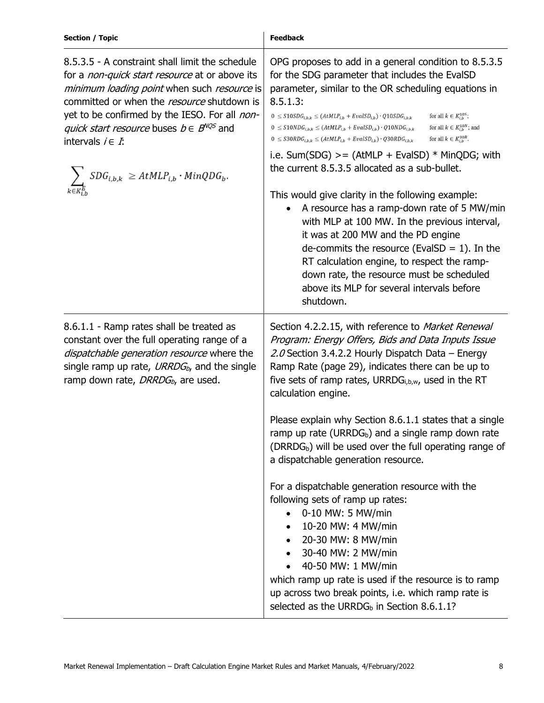| <b>Section / Topic</b>                                                                                                                                                                                                                                                                                                                   | <b>Feedback</b>                                                                                                                                                                                                                                                                                                                                                                                                                                                                                                                                |
|------------------------------------------------------------------------------------------------------------------------------------------------------------------------------------------------------------------------------------------------------------------------------------------------------------------------------------------|------------------------------------------------------------------------------------------------------------------------------------------------------------------------------------------------------------------------------------------------------------------------------------------------------------------------------------------------------------------------------------------------------------------------------------------------------------------------------------------------------------------------------------------------|
| 8.5.3.5 - A constraint shall limit the schedule<br>for a <i>non-quick start resource</i> at or above its<br>minimum loading point when such resource is<br>committed or when the resource shutdown is<br>yet to be confirmed by the IESO. For all non-<br><i>quick start resource</i> buses $b \in B^{NQS}$ and<br>intervals $i \in I$ : | OPG proposes to add in a general condition to 8.5.3.5<br>for the SDG parameter that includes the EvalSD<br>parameter, similar to the OR scheduling equations in<br>8.5.1.3:<br>for all $k \in K_{i,b}^{10S}$ ;<br>$0 \leq S10SDG_{i,b,k} \leq (AtMLP_{i,b} + EvalSD_{i,b}) \cdot Q10SDG_{i,b,k}$<br>for all $k \in K_{i,b}^{10N}$ ; and<br>$0 \leq S10NDG_{i,b,k} \leq (AtMLP_{i,b} + EvalSD_{i,b}) \cdot Q10NDG_{i,b,k}$<br>for all $k \in K_{i,b}^{30R}$ .<br>$0 \leq S30RDG_{i,b,k} \leq (AtMLP_{i,b} + EvalSD_{i,b}) \cdot Q30RDG_{i,b,k}$ |
| $SDG_{i,b,k} \ \geq AtMLP_{i,b} \cdot MinQDG_b.$                                                                                                                                                                                                                                                                                         | i.e. Sum(SDG) $>=(AtMLP + EvalSD) * MinQDG$ ; with<br>the current 8.5.3.5 allocated as a sub-bullet.                                                                                                                                                                                                                                                                                                                                                                                                                                           |
|                                                                                                                                                                                                                                                                                                                                          | This would give clarity in the following example:<br>A resource has a ramp-down rate of 5 MW/min<br>with MLP at 100 MW. In the previous interval,<br>it was at 200 MW and the PD engine<br>de-commits the resource (EvalSD = $1$ ). In the<br>RT calculation engine, to respect the ramp-<br>down rate, the resource must be scheduled<br>above its MLP for several intervals before<br>shutdown.                                                                                                                                              |
| 8.6.1.1 - Ramp rates shall be treated as<br>constant over the full operating range of a<br>dispatchable generation resource where the<br>single ramp up rate, $URRDG_{b}$ , and the single<br>ramp down rate, DRRDG <sub>b</sub> , are used.                                                                                             | Section 4.2.2.15, with reference to Market Renewal<br>Program: Energy Offers, Bids and Data Inputs Issue<br>2.0 Section 3.4.2.2 Hourly Dispatch Data – Energy<br>Ramp Rate (page 29), indicates there can be up to<br>five sets of ramp rates, URRD $G_{i,b,w}$ , used in the RT<br>calculation engine.                                                                                                                                                                                                                                        |
|                                                                                                                                                                                                                                                                                                                                          | Please explain why Section 8.6.1.1 states that a single<br>ramp up rate (URRD $G_b$ ) and a single ramp down rate<br>(DRRDG <sub>b</sub> ) will be used over the full operating range of<br>a dispatchable generation resource.                                                                                                                                                                                                                                                                                                                |
|                                                                                                                                                                                                                                                                                                                                          | For a dispatchable generation resource with the<br>following sets of ramp up rates:<br>0-10 MW: 5 MW/min<br>10-20 MW: 4 MW/min<br>20-30 MW: 8 MW/min<br>30-40 MW: 2 MW/min<br>40-50 MW: 1 MW/min<br>which ramp up rate is used if the resource is to ramp<br>up across two break points, i.e. which ramp rate is<br>selected as the URRDG <sub>b</sub> in Section 8.6.1.1?                                                                                                                                                                     |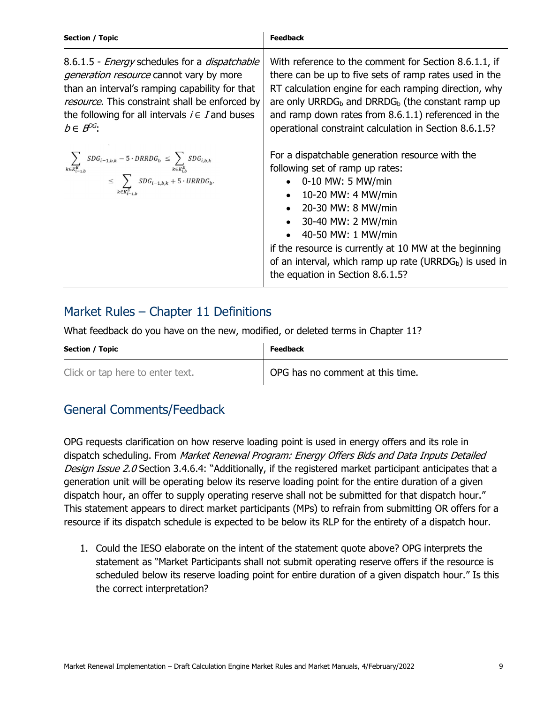| <b>Section / Topic</b>                                                                                                                                                                                                                                                                       | <b>Feedback</b>                                                                                                                                                                                                                                                                                                                                                                                                            |
|----------------------------------------------------------------------------------------------------------------------------------------------------------------------------------------------------------------------------------------------------------------------------------------------|----------------------------------------------------------------------------------------------------------------------------------------------------------------------------------------------------------------------------------------------------------------------------------------------------------------------------------------------------------------------------------------------------------------------------|
| 8.6.1.5 - <i>Energy</i> schedules for a <i>dispatchable</i><br><i>generation resource</i> cannot vary by more<br>than an interval's ramping capability for that<br>resource. This constraint shall be enforced by<br>the following for all intervals $i \in I$ and buses<br>$b \in B^{DG}$ : | With reference to the comment for Section 8.6.1.1, if<br>there can be up to five sets of ramp rates used in the<br>RT calculation engine for each ramping direction, why<br>are only URRDG <sub>b</sub> and DRRDG <sub>b</sub> (the constant ramp up<br>and ramp down rates from 8.6.1.1) referenced in the<br>operational constraint calculation in Section 8.6.1.5?                                                      |
| $\begin{aligned} \sum_{k \in R^E_{i-1,b}} SDG_{i-1,b,k} - 5 \cdot DRRDG_b & \leq \sum_{k \in R^E_{i,b}} SDG_{i,b,k} \\ & \leq \sum_{k \in R^E_{i-1,b}} SDG_{i-1,b,k} + 5 \cdot URRDG_b. \end{aligned}$                                                                                       | For a dispatchable generation resource with the<br>following set of ramp up rates:<br>$\bullet$ 0-10 MW: 5 MW/min<br>10-20 MW: 4 MW/min<br>$\bullet$<br>20-30 MW: 8 MW/min<br>$\bullet$<br>30-40 MW: 2 MW/min<br>$\bullet$<br>40-50 MW: 1 MW/min<br>$\bullet$<br>if the resource is currently at 10 MW at the beginning<br>of an interval, which ramp up rate (URRD $G_b$ ) is used in<br>the equation in Section 8.6.1.5? |

## Market Rules – Chapter 11 Definitions

What feedback do you have on the new, modified, or deleted terms in Chapter 11?

| Section / Topic                  | <b>Feedback</b>                               |
|----------------------------------|-----------------------------------------------|
| Click or tap here to enter text. | <sup>1</sup> OPG has no comment at this time. |

## General Comments/Feedback

 OPG requests clarification on how reserve loading point is used in energy offers and its role in dispatch scheduling. From *Market Renewal Program: Energy Offers Bids and Data Inputs Detailed* Design Issue 2.0 Section 3.4.6.4: "Additionally, if the registered market participant anticipates that a generation unit will be operating below its reserve loading point for the entire duration of a given dispatch hour, an offer to supply operating reserve shall not be submitted for that dispatch hour." This statement appears to direct market participants (MPs) to refrain from submitting OR offers for a resource if its dispatch schedule is expected to be below its RLP for the entirety of a dispatch hour.

 1. Could the IESO elaborate on the intent of the statement quote above? OPG interprets the statement as "Market Participants shall not submit operating reserve offers if the resource is scheduled below its reserve loading point for entire duration of a given dispatch hour." Is this the correct interpretation?